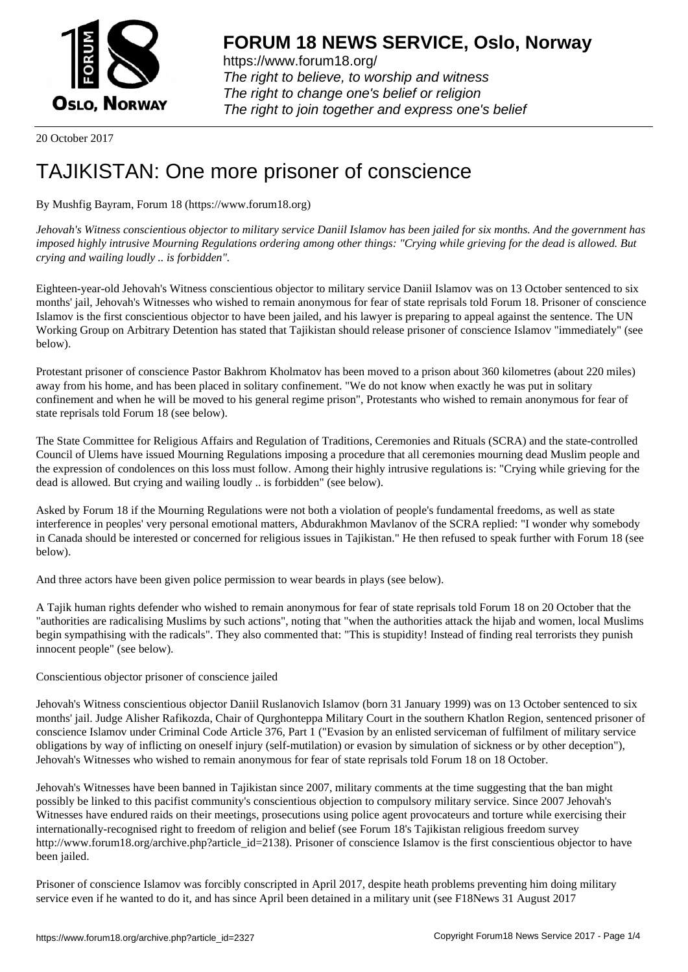

https://www.forum18.org/ The right to believe, to worship and witness The right to change one's belief or religion [The right to join together a](https://www.forum18.org/)nd express one's belief

20 October 2017

## [TAJIKISTAN: O](https://www.forum18.org)ne more prisoner of conscience

By Mushfig Bayram, Forum 18 (https://www.forum18.org)

*Jehovah's Witness conscientious objector to military service Daniil Islamov has been jailed for six months. And the government has imposed highly intrusive Mourning Regulations ordering among other things: "Crying while grieving for the dead is allowed. But crying and wailing loudly .. is forbidden".*

Eighteen-year-old Jehovah's Witness conscientious objector to military service Daniil Islamov was on 13 October sentenced to six months' jail, Jehovah's Witnesses who wished to remain anonymous for fear of state reprisals told Forum 18. Prisoner of conscience Islamov is the first conscientious objector to have been jailed, and his lawyer is preparing to appeal against the sentence. The UN Working Group on Arbitrary Detention has stated that Tajikistan should release prisoner of conscience Islamov "immediately" (see below).

Protestant prisoner of conscience Pastor Bakhrom Kholmatov has been moved to a prison about 360 kilometres (about 220 miles) away from his home, and has been placed in solitary confinement. "We do not know when exactly he was put in solitary confinement and when he will be moved to his general regime prison", Protestants who wished to remain anonymous for fear of state reprisals told Forum 18 (see below).

The State Committee for Religious Affairs and Regulation of Traditions, Ceremonies and Rituals (SCRA) and the state-controlled Council of Ulems have issued Mourning Regulations imposing a procedure that all ceremonies mourning dead Muslim people and the expression of condolences on this loss must follow. Among their highly intrusive regulations is: "Crying while grieving for the dead is allowed. But crying and wailing loudly .. is forbidden" (see below).

Asked by Forum 18 if the Mourning Regulations were not both a violation of people's fundamental freedoms, as well as state interference in peoples' very personal emotional matters, Abdurakhmon Mavlanov of the SCRA replied: "I wonder why somebody in Canada should be interested or concerned for religious issues in Tajikistan." He then refused to speak further with Forum 18 (see below).

And three actors have been given police permission to wear beards in plays (see below).

A Tajik human rights defender who wished to remain anonymous for fear of state reprisals told Forum 18 on 20 October that the "authorities are radicalising Muslims by such actions", noting that "when the authorities attack the hijab and women, local Muslims begin sympathising with the radicals". They also commented that: "This is stupidity! Instead of finding real terrorists they punish innocent people" (see below).

Conscientious objector prisoner of conscience jailed

Jehovah's Witness conscientious objector Daniil Ruslanovich Islamov (born 31 January 1999) was on 13 October sentenced to six months' jail. Judge Alisher Rafikozda, Chair of Qurghonteppa Military Court in the southern Khatlon Region, sentenced prisoner of conscience Islamov under Criminal Code Article 376, Part 1 ("Evasion by an enlisted serviceman of fulfilment of military service obligations by way of inflicting on oneself injury (self-mutilation) or evasion by simulation of sickness or by other deception"), Jehovah's Witnesses who wished to remain anonymous for fear of state reprisals told Forum 18 on 18 October.

Jehovah's Witnesses have been banned in Tajikistan since 2007, military comments at the time suggesting that the ban might possibly be linked to this pacifist community's conscientious objection to compulsory military service. Since 2007 Jehovah's Witnesses have endured raids on their meetings, prosecutions using police agent provocateurs and torture while exercising their internationally-recognised right to freedom of religion and belief (see Forum 18's Tajikistan religious freedom survey http://www.forum18.org/archive.php?article\_id=2138). Prisoner of conscience Islamov is the first conscientious objector to have been jailed.

Prisoner of conscience Islamov was forcibly conscripted in April 2017, despite heath problems preventing him doing military service even if he wanted to do it, and has since April been detained in a military unit (see F18News 31 August 2017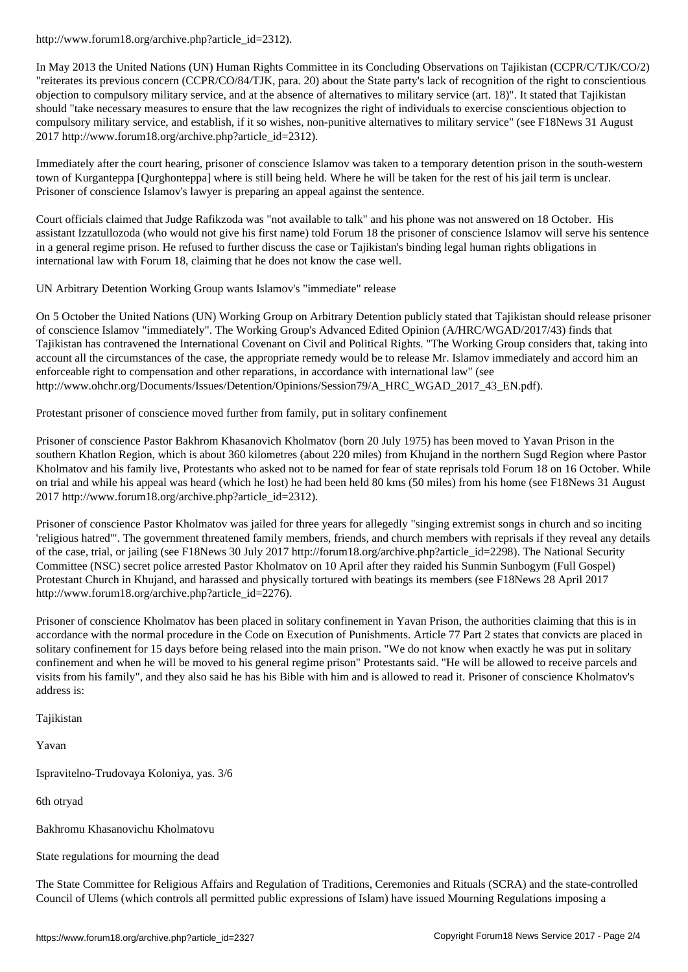In May 2013 the United Nations (UN) Human Rights Committee in its Concluding Observations on Tajikistan (CCPR/C/TJK/CO/2) "reiterates its previous concern (CCPR/CO/84/TJK, para. 20) about the State party's lack of recognition of the right to conscientious objection to compulsory military service, and at the absence of alternatives to military service (art. 18)". It stated that Tajikistan should "take necessary measures to ensure that the law recognizes the right of individuals to exercise conscientious objection to compulsory military service, and establish, if it so wishes, non-punitive alternatives to military service" (see F18News 31 August 2017 http://www.forum18.org/archive.php?article\_id=2312).

Immediately after the court hearing, prisoner of conscience Islamov was taken to a temporary detention prison in the south-western town of Kurganteppa [Qurghonteppa] where is still being held. Where he will be taken for the rest of his jail term is unclear. Prisoner of conscience Islamov's lawyer is preparing an appeal against the sentence.

Court officials claimed that Judge Rafikzoda was "not available to talk" and his phone was not answered on 18 October. His assistant Izzatullozoda (who would not give his first name) told Forum 18 the prisoner of conscience Islamov will serve his sentence in a general regime prison. He refused to further discuss the case or Tajikistan's binding legal human rights obligations in international law with Forum 18, claiming that he does not know the case well.

UN Arbitrary Detention Working Group wants Islamov's "immediate" release

On 5 October the United Nations (UN) Working Group on Arbitrary Detention publicly stated that Tajikistan should release prisoner of conscience Islamov "immediately". The Working Group's Advanced Edited Opinion (A/HRC/WGAD/2017/43) finds that Tajikistan has contravened the International Covenant on Civil and Political Rights. "The Working Group considers that, taking into account all the circumstances of the case, the appropriate remedy would be to release Mr. Islamov immediately and accord him an enforceable right to compensation and other reparations, in accordance with international law" (see http://www.ohchr.org/Documents/Issues/Detention/Opinions/Session79/A\_HRC\_WGAD\_2017\_43\_EN.pdf).

Protestant prisoner of conscience moved further from family, put in solitary confinement

Prisoner of conscience Pastor Bakhrom Khasanovich Kholmatov (born 20 July 1975) has been moved to Yavan Prison in the southern Khatlon Region, which is about 360 kilometres (about 220 miles) from Khujand in the northern Sugd Region where Pastor Kholmatov and his family live, Protestants who asked not to be named for fear of state reprisals told Forum 18 on 16 October. While on trial and while his appeal was heard (which he lost) he had been held 80 kms (50 miles) from his home (see F18News 31 August 2017 http://www.forum18.org/archive.php?article\_id=2312).

Prisoner of conscience Pastor Kholmatov was jailed for three years for allegedly "singing extremist songs in church and so inciting 'religious hatred'". The government threatened family members, friends, and church members with reprisals if they reveal any details of the case, trial, or jailing (see F18News 30 July 2017 http://forum18.org/archive.php?article\_id=2298). The National Security Committee (NSC) secret police arrested Pastor Kholmatov on 10 April after they raided his Sunmin Sunbogym (Full Gospel) Protestant Church in Khujand, and harassed and physically tortured with beatings its members (see F18News 28 April 2017 http://www.forum18.org/archive.php?article\_id=2276).

Prisoner of conscience Kholmatov has been placed in solitary confinement in Yavan Prison, the authorities claiming that this is in accordance with the normal procedure in the Code on Execution of Punishments. Article 77 Part 2 states that convicts are placed in solitary confinement for 15 days before being relased into the main prison. "We do not know when exactly he was put in solitary confinement and when he will be moved to his general regime prison" Protestants said. "He will be allowed to receive parcels and visits from his family", and they also said he has his Bible with him and is allowed to read it. Prisoner of conscience Kholmatov's address is:

Tajikistan

Yavan

Ispravitelno-Trudovaya Koloniya, yas. 3/6

6th otryad

Bakhromu Khasanovichu Kholmatovu

State regulations for mourning the dead

The State Committee for Religious Affairs and Regulation of Traditions, Ceremonies and Rituals (SCRA) and the state-controlled Council of Ulems (which controls all permitted public expressions of Islam) have issued Mourning Regulations imposing a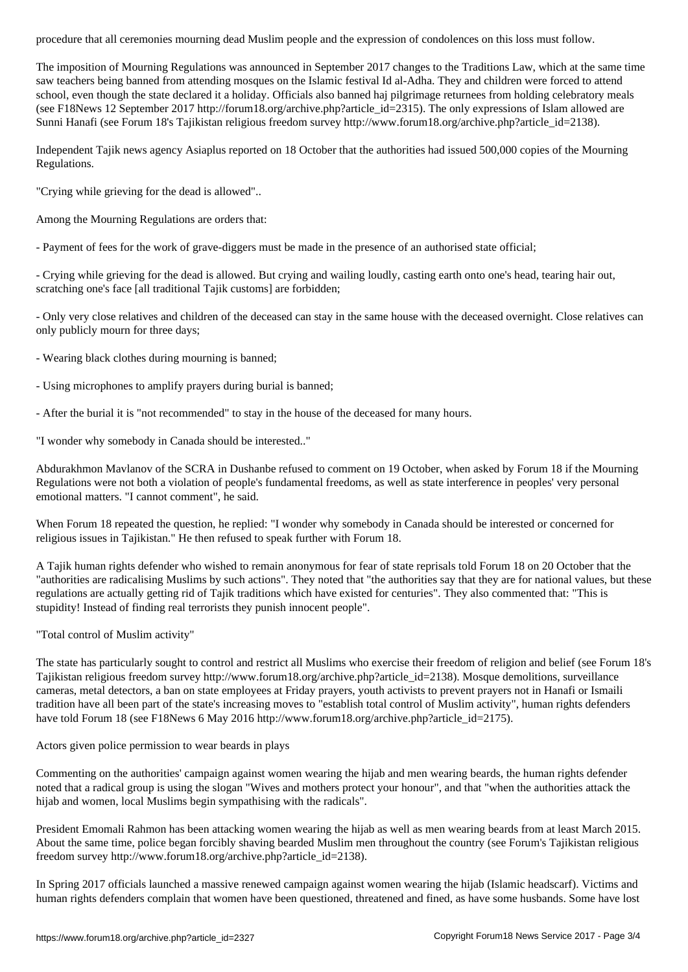The imposition of Mourning Regulations was announced in September 2017 changes to the Traditions Law, which at the same time saw teachers being banned from attending mosques on the Islamic festival Id al-Adha. They and children were forced to attend school, even though the state declared it a holiday. Officials also banned haj pilgrimage returnees from holding celebratory meals (see F18News 12 September 2017 http://forum18.org/archive.php?article\_id=2315). The only expressions of Islam allowed are Sunni Hanafi (see Forum 18's Tajikistan religious freedom survey http://www.forum18.org/archive.php?article\_id=2138).

Independent Tajik news agency Asiaplus reported on 18 October that the authorities had issued 500,000 copies of the Mourning Regulations.

"Crying while grieving for the dead is allowed"..

Among the Mourning Regulations are orders that:

- Payment of fees for the work of grave-diggers must be made in the presence of an authorised state official;

- Crying while grieving for the dead is allowed. But crying and wailing loudly, casting earth onto one's head, tearing hair out, scratching one's face [all traditional Tajik customs] are forbidden;

- Only very close relatives and children of the deceased can stay in the same house with the deceased overnight. Close relatives can only publicly mourn for three days;

- Wearing black clothes during mourning is banned;

- Using microphones to amplify prayers during burial is banned;

- After the burial it is "not recommended" to stay in the house of the deceased for many hours.

"I wonder why somebody in Canada should be interested.."

Abdurakhmon Mavlanov of the SCRA in Dushanbe refused to comment on 19 October, when asked by Forum 18 if the Mourning Regulations were not both a violation of people's fundamental freedoms, as well as state interference in peoples' very personal emotional matters. "I cannot comment", he said.

When Forum 18 repeated the question, he replied: "I wonder why somebody in Canada should be interested or concerned for religious issues in Tajikistan." He then refused to speak further with Forum 18.

A Tajik human rights defender who wished to remain anonymous for fear of state reprisals told Forum 18 on 20 October that the "authorities are radicalising Muslims by such actions". They noted that "the authorities say that they are for national values, but these regulations are actually getting rid of Tajik traditions which have existed for centuries". They also commented that: "This is stupidity! Instead of finding real terrorists they punish innocent people".

"Total control of Muslim activity"

The state has particularly sought to control and restrict all Muslims who exercise their freedom of religion and belief (see Forum 18's Tajikistan religious freedom survey http://www.forum18.org/archive.php?article\_id=2138). Mosque demolitions, surveillance cameras, metal detectors, a ban on state employees at Friday prayers, youth activists to prevent prayers not in Hanafi or Ismaili tradition have all been part of the state's increasing moves to "establish total control of Muslim activity", human rights defenders have told Forum 18 (see F18News 6 May 2016 http://www.forum18.org/archive.php?article\_id=2175).

Actors given police permission to wear beards in plays

Commenting on the authorities' campaign against women wearing the hijab and men wearing beards, the human rights defender noted that a radical group is using the slogan "Wives and mothers protect your honour", and that "when the authorities attack the hijab and women, local Muslims begin sympathising with the radicals".

President Emomali Rahmon has been attacking women wearing the hijab as well as men wearing beards from at least March 2015. About the same time, police began forcibly shaving bearded Muslim men throughout the country (see Forum's Tajikistan religious freedom survey http://www.forum18.org/archive.php?article\_id=2138).

In Spring 2017 officials launched a massive renewed campaign against women wearing the hijab (Islamic headscarf). Victims and human rights defenders complain that women have been questioned, threatened and fined, as have some husbands. Some have lost